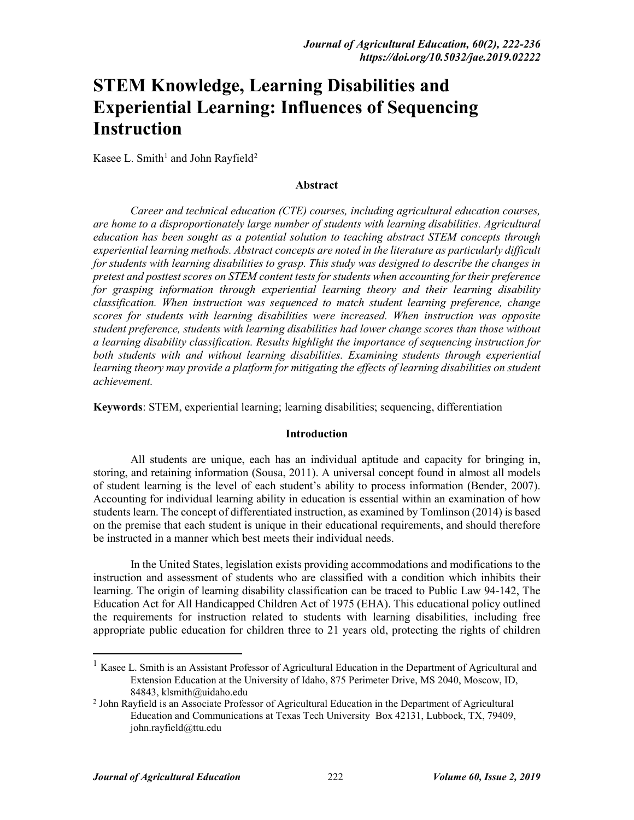# **STEM Knowledge, Learning Disabilities and Experiential Learning: Influences of Sequencing Instruction**

Kasee L. Smith<sup>[1](#page-0-0)</sup> and John Rayfield<sup>2</sup>

#### **Abstract**

*Career and technical education (CTE) courses, including agricultural education courses, are home to a disproportionately large number of students with learning disabilities. Agricultural education has been sought as a potential solution to teaching abstract STEM concepts through experiential learning methods. Abstract concepts are noted in the literature as particularly difficult for students with learning disabilities to grasp. This study was designed to describe the changes in pretest and posttest scores on STEM content tests for students when accounting for their preference for grasping information through experiential learning theory and their learning disability classification. When instruction was sequenced to match student learning preference, change scores for students with learning disabilities were increased. When instruction was opposite student preference, students with learning disabilities had lower change scores than those without a learning disability classification. Results highlight the importance of sequencing instruction for both students with and without learning disabilities. Examining students through experiential*  learning theory may provide a platform for mitigating the effects of learning disabilities on student *achievement.*

**Keywords**: STEM, experiential learning; learning disabilities; sequencing, differentiation

## **Introduction**

All students are unique, each has an individual aptitude and capacity for bringing in, storing, and retaining information (Sousa, 2011). A universal concept found in almost all models of student learning is the level of each student's ability to process information (Bender, 2007). Accounting for individual learning ability in education is essential within an examination of how students learn. The concept of differentiated instruction, as examined by Tomlinson (2014) is based on the premise that each student is unique in their educational requirements, and should therefore be instructed in a manner which best meets their individual needs.

In the United States, legislation exists providing accommodations and modifications to the instruction and assessment of students who are classified with a condition which inhibits their learning. The origin of learning disability classification can be traced to Public Law 94-142, The Education Act for All Handicapped Children Act of 1975 (EHA). This educational policy outlined the requirements for instruction related to students with learning disabilities, including free appropriate public education for children three to 21 years old, protecting the rights of children

<span id="page-0-0"></span><sup>&</sup>lt;sup>1</sup> Kasee L. Smith is an Assistant Professor of Agricultural Education in the Department of Agricultural and Extension Education at the University of Idaho, 875 Perimeter Drive, MS 2040, Moscow, ID, 84843, klsmith@uidaho.edu

<span id="page-0-1"></span><sup>2</sup> John Rayfield is an Associate Professor of Agricultural Education in the Department of Agricultural Education and Communications at Texas Tech University Box 42131, Lubbock, TX, 79409, john.rayfield@ttu.edu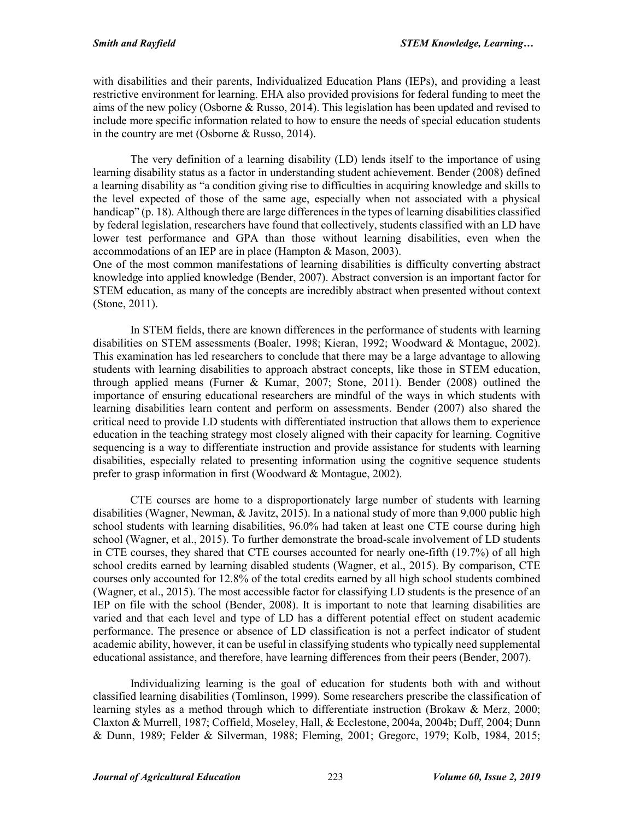with disabilities and their parents, Individualized Education Plans (IEPs), and providing a least restrictive environment for learning. EHA also provided provisions for federal funding to meet the aims of the new policy (Osborne & Russo, 2014). This legislation has been updated and revised to include more specific information related to how to ensure the needs of special education students in the country are met (Osborne & Russo, 2014).

The very definition of a learning disability (LD) lends itself to the importance of using learning disability status as a factor in understanding student achievement. Bender (2008) defined a learning disability as "a condition giving rise to difficulties in acquiring knowledge and skills to the level expected of those of the same age, especially when not associated with a physical handicap" (p. 18). Although there are large differences in the types of learning disabilities classified by federal legislation, researchers have found that collectively, students classified with an LD have lower test performance and GPA than those without learning disabilities, even when the accommodations of an IEP are in place (Hampton & Mason, 2003).

One of the most common manifestations of learning disabilities is difficulty converting abstract knowledge into applied knowledge (Bender, 2007). Abstract conversion is an important factor for STEM education, as many of the concepts are incredibly abstract when presented without context (Stone, 2011).

In STEM fields, there are known differences in the performance of students with learning disabilities on STEM assessments (Boaler, 1998; Kieran, 1992; Woodward & Montague, 2002). This examination has led researchers to conclude that there may be a large advantage to allowing students with learning disabilities to approach abstract concepts, like those in STEM education, through applied means (Furner & Kumar, 2007; Stone, 2011). Bender (2008) outlined the importance of ensuring educational researchers are mindful of the ways in which students with learning disabilities learn content and perform on assessments. Bender (2007) also shared the critical need to provide LD students with differentiated instruction that allows them to experience education in the teaching strategy most closely aligned with their capacity for learning. Cognitive sequencing is a way to differentiate instruction and provide assistance for students with learning disabilities, especially related to presenting information using the cognitive sequence students prefer to grasp information in first (Woodward & Montague, 2002).

CTE courses are home to a disproportionately large number of students with learning disabilities (Wagner, Newman, & Javitz, 2015). In a national study of more than 9,000 public high school students with learning disabilities, 96.0% had taken at least one CTE course during high school (Wagner, et al., 2015). To further demonstrate the broad-scale involvement of LD students in CTE courses, they shared that CTE courses accounted for nearly one-fifth (19.7%) of all high school credits earned by learning disabled students (Wagner, et al., 2015). By comparison, CTE courses only accounted for 12.8% of the total credits earned by all high school students combined (Wagner, et al., 2015). The most accessible factor for classifying LD students is the presence of an IEP on file with the school (Bender, 2008). It is important to note that learning disabilities are varied and that each level and type of LD has a different potential effect on student academic performance. The presence or absence of LD classification is not a perfect indicator of student academic ability, however, it can be useful in classifying students who typically need supplemental educational assistance, and therefore, have learning differences from their peers (Bender, 2007).

Individualizing learning is the goal of education for students both with and without classified learning disabilities (Tomlinson, 1999). Some researchers prescribe the classification of learning styles as a method through which to differentiate instruction (Brokaw & Merz, 2000; Claxton & Murrell, 1987; Coffield, Moseley, Hall, & Ecclestone, 2004a, 2004b; Duff, 2004; Dunn & Dunn, 1989; Felder & Silverman, 1988; Fleming, 2001; Gregorc, 1979; Kolb, 1984, 2015;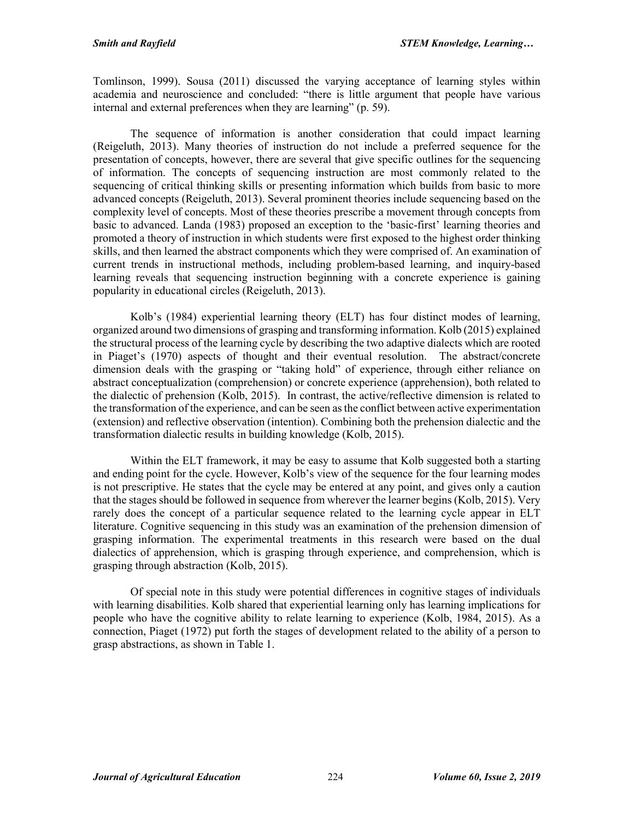Tomlinson, 1999). Sousa (2011) discussed the varying acceptance of learning styles within academia and neuroscience and concluded: "there is little argument that people have various internal and external preferences when they are learning" (p. 59).

The sequence of information is another consideration that could impact learning (Reigeluth, 2013). Many theories of instruction do not include a preferred sequence for the presentation of concepts, however, there are several that give specific outlines for the sequencing of information. The concepts of sequencing instruction are most commonly related to the sequencing of critical thinking skills or presenting information which builds from basic to more advanced concepts (Reigeluth, 2013). Several prominent theories include sequencing based on the complexity level of concepts. Most of these theories prescribe a movement through concepts from basic to advanced. Landa (1983) proposed an exception to the 'basic-first' learning theories and promoted a theory of instruction in which students were first exposed to the highest order thinking skills, and then learned the abstract components which they were comprised of. An examination of current trends in instructional methods, including problem-based learning, and inquiry-based learning reveals that sequencing instruction beginning with a concrete experience is gaining popularity in educational circles (Reigeluth, 2013).

Kolb's (1984) experiential learning theory (ELT) has four distinct modes of learning, organized around two dimensions of grasping and transforming information. Kolb (2015) explained the structural process of the learning cycle by describing the two adaptive dialects which are rooted in Piaget's (1970) aspects of thought and their eventual resolution. The abstract/concrete dimension deals with the grasping or "taking hold" of experience, through either reliance on abstract conceptualization (comprehension) or concrete experience (apprehension), both related to the dialectic of prehension (Kolb, 2015). In contrast, the active/reflective dimension is related to the transformation of the experience, and can be seen as the conflict between active experimentation (extension) and reflective observation (intention). Combining both the prehension dialectic and the transformation dialectic results in building knowledge (Kolb, 2015).

Within the ELT framework, it may be easy to assume that Kolb suggested both a starting and ending point for the cycle. However, Kolb's view of the sequence for the four learning modes is not prescriptive. He states that the cycle may be entered at any point, and gives only a caution that the stages should be followed in sequence from wherever the learner begins (Kolb, 2015). Very rarely does the concept of a particular sequence related to the learning cycle appear in ELT literature. Cognitive sequencing in this study was an examination of the prehension dimension of grasping information. The experimental treatments in this research were based on the dual dialectics of apprehension, which is grasping through experience, and comprehension, which is grasping through abstraction (Kolb, 2015).

Of special note in this study were potential differences in cognitive stages of individuals with learning disabilities. Kolb shared that experiential learning only has learning implications for people who have the cognitive ability to relate learning to experience (Kolb, 1984, 2015). As a connection, Piaget (1972) put forth the stages of development related to the ability of a person to grasp abstractions, as shown in Table 1.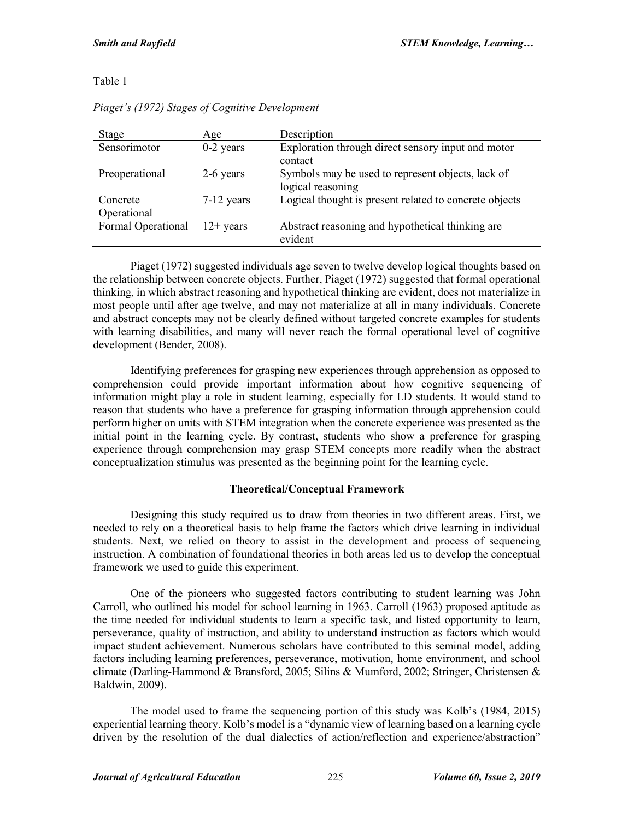Table 1

| Stage                   | Age          | Description                                                            |
|-------------------------|--------------|------------------------------------------------------------------------|
| Sensorimotor            | $0-2$ years  | Exploration through direct sensory input and motor<br>contact          |
| Preoperational          | 2-6 years    | Symbols may be used to represent objects, lack of<br>logical reasoning |
| Concrete<br>Operational | $7-12$ years | Logical thought is present related to concrete objects                 |
| Formal Operational      | $12+$ years  | Abstract reasoning and hypothetical thinking are<br>evident            |

*Piaget's (1972) Stages of Cognitive Development*

Piaget (1972) suggested individuals age seven to twelve develop logical thoughts based on the relationship between concrete objects. Further, Piaget (1972) suggested that formal operational thinking, in which abstract reasoning and hypothetical thinking are evident, does not materialize in most people until after age twelve, and may not materialize at all in many individuals. Concrete and abstract concepts may not be clearly defined without targeted concrete examples for students with learning disabilities, and many will never reach the formal operational level of cognitive development (Bender, 2008).

Identifying preferences for grasping new experiences through apprehension as opposed to comprehension could provide important information about how cognitive sequencing of information might play a role in student learning, especially for LD students. It would stand to reason that students who have a preference for grasping information through apprehension could perform higher on units with STEM integration when the concrete experience was presented as the initial point in the learning cycle. By contrast, students who show a preference for grasping experience through comprehension may grasp STEM concepts more readily when the abstract conceptualization stimulus was presented as the beginning point for the learning cycle.

# **Theoretical/Conceptual Framework**

Designing this study required us to draw from theories in two different areas. First, we needed to rely on a theoretical basis to help frame the factors which drive learning in individual students. Next, we relied on theory to assist in the development and process of sequencing instruction. A combination of foundational theories in both areas led us to develop the conceptual framework we used to guide this experiment.

One of the pioneers who suggested factors contributing to student learning was John Carroll, who outlined his model for school learning in 1963. Carroll (1963) proposed aptitude as the time needed for individual students to learn a specific task, and listed opportunity to learn, perseverance, quality of instruction, and ability to understand instruction as factors which would impact student achievement. Numerous scholars have contributed to this seminal model, adding factors including learning preferences, perseverance, motivation, home environment, and school climate (Darling-Hammond & Bransford, 2005; Silins & Mumford, 2002; Stringer, Christensen & Baldwin, 2009).

The model used to frame the sequencing portion of this study was Kolb's (1984, 2015) experiential learning theory. Kolb's model is a "dynamic view of learning based on a learning cycle driven by the resolution of the dual dialectics of action/reflection and experience/abstraction"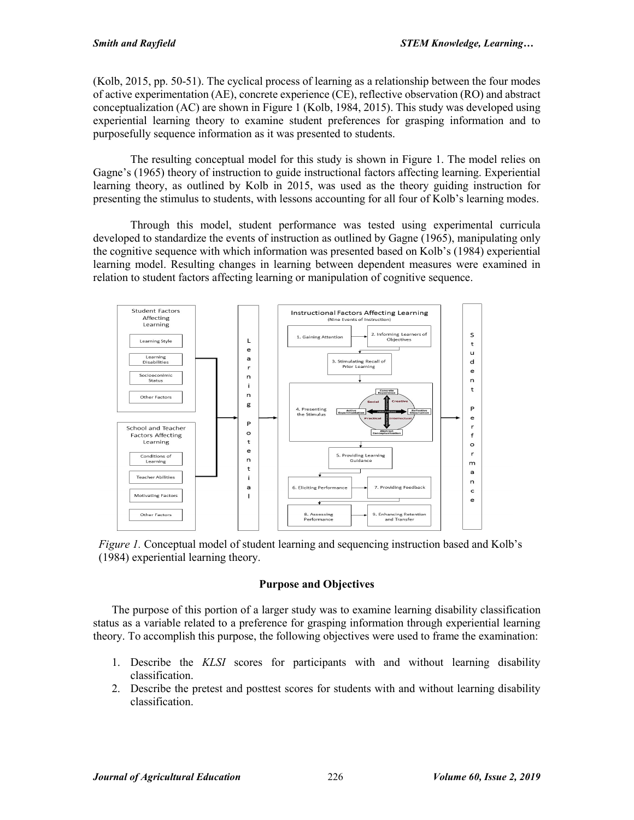(Kolb, 2015, pp. 50-51). The cyclical process of learning as a relationship between the four modes of active experimentation (AE), concrete experience (CE), reflective observation (RO) and abstract conceptualization (AC) are shown in Figure 1 (Kolb, 1984, 2015). This study was developed using experiential learning theory to examine student preferences for grasping information and to purposefully sequence information as it was presented to students.

The resulting conceptual model for this study is shown in Figure 1. The model relies on Gagne's (1965) theory of instruction to guide instructional factors affecting learning. Experiential learning theory, as outlined by Kolb in 2015, was used as the theory guiding instruction for presenting the stimulus to students, with lessons accounting for all four of Kolb's learning modes.

Through this model, student performance was tested using experimental curricula developed to standardize the events of instruction as outlined by Gagne (1965), manipulating only the cognitive sequence with which information was presented based on Kolb's (1984) experiential learning model. Resulting changes in learning between dependent measures were examined in relation to student factors affecting learning or manipulation of cognitive sequence.



*Figure 1.* Conceptual model of student learning and sequencing instruction based and Kolb's (1984) experiential learning theory.

# **Purpose and Objectives**

The purpose of this portion of a larger study was to examine learning disability classification status as a variable related to a preference for grasping information through experiential learning theory. To accomplish this purpose, the following objectives were used to frame the examination:

- 1. Describe the *KLSI* scores for participants with and without learning disability classification.
- 2. Describe the pretest and posttest scores for students with and without learning disability classification.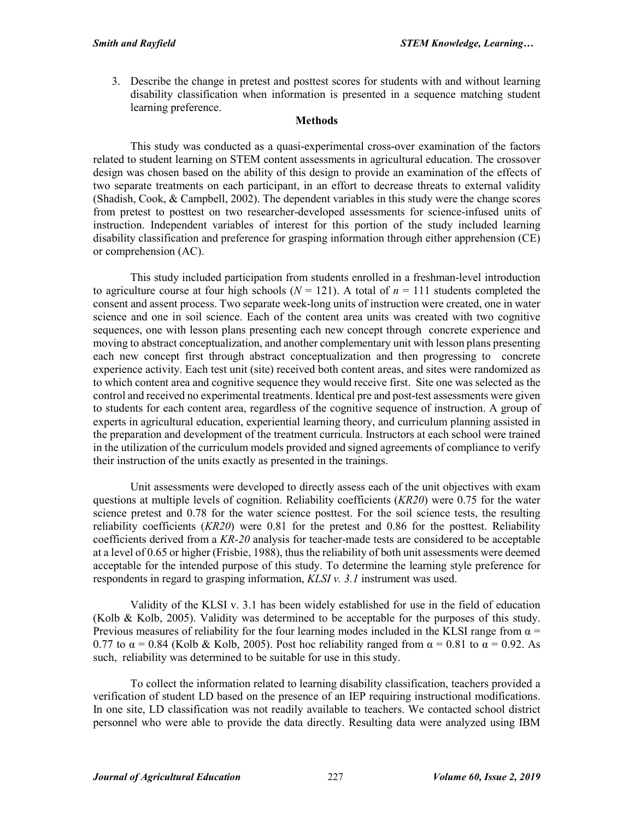3. Describe the change in pretest and posttest scores for students with and without learning disability classification when information is presented in a sequence matching student learning preference.

## **Methods**

This study was conducted as a quasi-experimental cross-over examination of the factors related to student learning on STEM content assessments in agricultural education. The crossover design was chosen based on the ability of this design to provide an examination of the effects of two separate treatments on each participant, in an effort to decrease threats to external validity (Shadish, Cook, & Campbell, 2002). The dependent variables in this study were the change scores from pretest to posttest on two researcher-developed assessments for science-infused units of instruction. Independent variables of interest for this portion of the study included learning disability classification and preference for grasping information through either apprehension (CE) or comprehension (AC).

This study included participation from students enrolled in a freshman-level introduction to agriculture course at four high schools ( $N = 121$ ). A total of  $n = 111$  students completed the consent and assent process. Two separate week-long units of instruction were created, one in water science and one in soil science. Each of the content area units was created with two cognitive sequences, one with lesson plans presenting each new concept through concrete experience and moving to abstract conceptualization, and another complementary unit with lesson plans presenting each new concept first through abstract conceptualization and then progressing to concrete experience activity. Each test unit (site) received both content areas, and sites were randomized as to which content area and cognitive sequence they would receive first. Site one was selected as the control and received no experimental treatments. Identical pre and post-test assessments were given to students for each content area, regardless of the cognitive sequence of instruction. A group of experts in agricultural education, experiential learning theory, and curriculum planning assisted in the preparation and development of the treatment curricula. Instructors at each school were trained in the utilization of the curriculum models provided and signed agreements of compliance to verify their instruction of the units exactly as presented in the trainings.

Unit assessments were developed to directly assess each of the unit objectives with exam questions at multiple levels of cognition. Reliability coefficients (*KR20*) were 0.75 for the water science pretest and 0.78 for the water science posttest. For the soil science tests, the resulting reliability coefficients (*KR20*) were 0.81 for the pretest and 0.86 for the posttest. Reliability coefficients derived from a *KR-20* analysis for teacher-made tests are considered to be acceptable at a level of 0.65 or higher (Frisbie, 1988), thus the reliability of both unit assessments were deemed acceptable for the intended purpose of this study. To determine the learning style preference for respondents in regard to grasping information, *KLSI v. 3.1* instrument was used.

Validity of the KLSI v. 3.1 has been widely established for use in the field of education (Kolb & Kolb, 2005). Validity was determined to be acceptable for the purposes of this study. Previous measures of reliability for the four learning modes included in the KLSI range from  $\alpha$  = 0.77 to  $\alpha$  = 0.84 (Kolb & Kolb, 2005). Post hoc reliability ranged from  $\alpha$  = 0.81 to  $\alpha$  = 0.92. As such, reliability was determined to be suitable for use in this study.

To collect the information related to learning disability classification, teachers provided a verification of student LD based on the presence of an IEP requiring instructional modifications. In one site, LD classification was not readily available to teachers. We contacted school district personnel who were able to provide the data directly. Resulting data were analyzed using IBM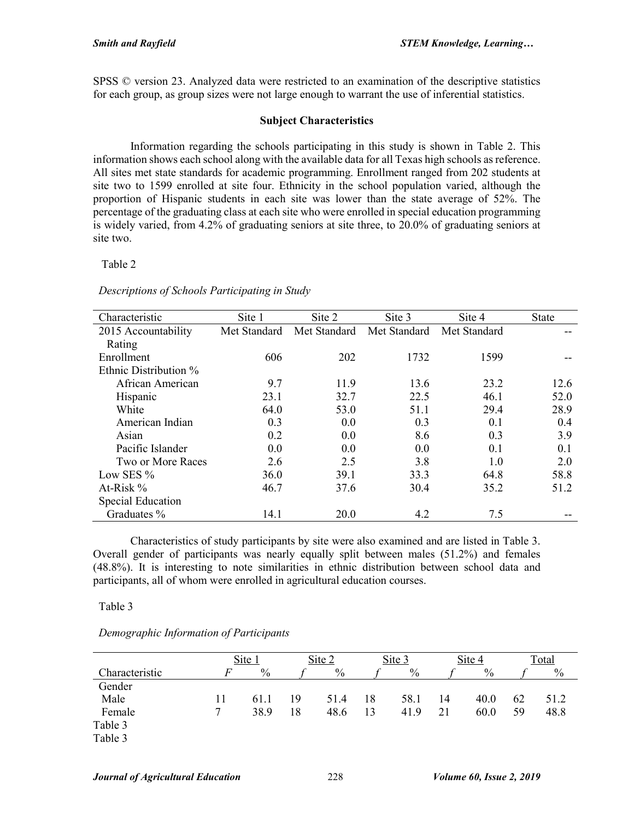SPSS © version 23. Analyzed data were restricted to an examination of the descriptive statistics for each group, as group sizes were not large enough to warrant the use of inferential statistics.

## **Subject Characteristics**

Information regarding the schools participating in this study is shown in Table 2. This information shows each school along with the available data for all Texas high schools as reference. All sites met state standards for academic programming. Enrollment ranged from 202 students at site two to 1599 enrolled at site four. Ethnicity in the school population varied, although the proportion of Hispanic students in each site was lower than the state average of 52%. The percentage of the graduating class at each site who were enrolled in special education programming is widely varied, from 4.2% of graduating seniors at site three, to 20.0% of graduating seniors at site two.

#### Table 2

## *Descriptions of Schools Participating in Study*

| Characteristic        | Site 1       | Site 2       | Site 3       | Site 4       | State |
|-----------------------|--------------|--------------|--------------|--------------|-------|
| 2015 Accountability   | Met Standard | Met Standard | Met Standard | Met Standard |       |
| Rating                |              |              |              |              |       |
| Enrollment            | 606          | 202          | 1732         | 1599         |       |
| Ethnic Distribution % |              |              |              |              |       |
| African American      | 9.7          | 11.9         | 13.6         | 23.2         | 12.6  |
| Hispanic              | 23.1         | 32.7         | 22.5         | 46.1         | 52.0  |
| White                 | 64.0         | 53.0         | 51.1         | 29.4         | 28.9  |
| American Indian       | 0.3          | 0.0          | 0.3          | 0.1          | 0.4   |
| Asian                 | 0.2          | 0.0          | 8.6          | 0.3          | 3.9   |
| Pacific Islander      | 0.0          | 0.0          | 0.0          | 0.1          | 0.1   |
| Two or More Races     | 2.6          | 2.5          | 3.8          | 1.0          | 2.0   |
| Low SES %             | 36.0         | 39.1         | 33.3         | 64.8         | 58.8  |
| At-Risk %             | 46.7         | 37.6         | 30.4         | 35.2         | 51.2  |
| Special Education     |              |              |              |              |       |
| Graduates %           | 14.1         | 20.0         | 4.2          | 7.5          |       |

Characteristics of study participants by site were also examined and are listed in Table 3. Overall gender of participants was nearly equally split between males (51.2%) and females (48.8%). It is interesting to note similarities in ethnic distribution between school data and participants, all of whom were enrolled in agricultural education courses.

Table 3

## *Demographic Information of Participants*

|                |    | Site 1 |    | Site 2        |    | Site 3 |    | Site 4 |    | Total |
|----------------|----|--------|----|---------------|----|--------|----|--------|----|-------|
| Characteristic | F  | $\%$   |    | $\frac{0}{0}$ |    | $\%$   |    | $\%$   |    | $\%$  |
| Gender         |    |        |    |               |    |        |    |        |    |       |
| Male           | 11 | 61.1   | 19 | 51.4          | 18 | 58.1   | 14 | 40.0   | 62 | 51.2  |
| Female         |    | 38.9   | 18 | 48.6          | 13 | 41.9   | 21 | 60.0   | 59 | 48.8  |
| Table 3        |    |        |    |               |    |        |    |        |    |       |
| Table 3        |    |        |    |               |    |        |    |        |    |       |
|                |    |        |    |               |    |        |    |        |    |       |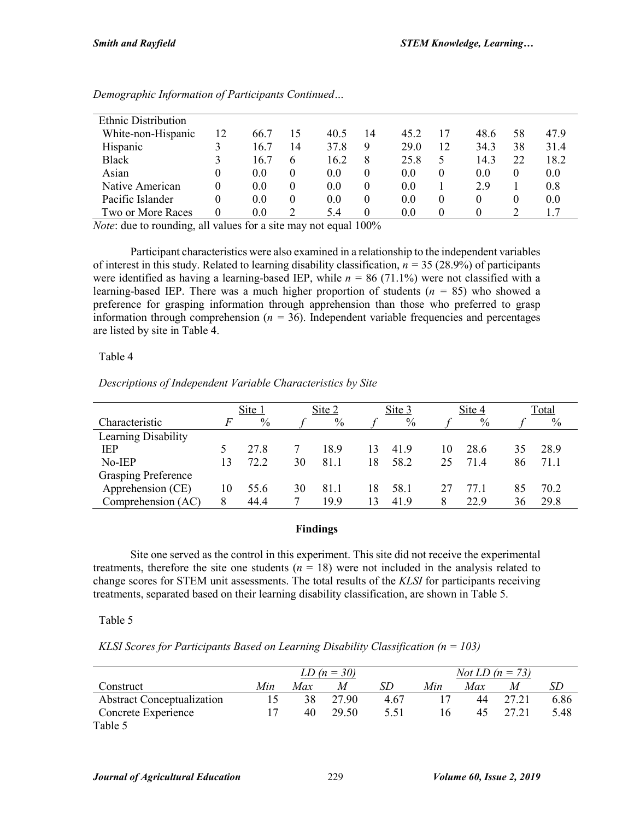| <b>Ethnic Distribution</b> |          |               |          |      |    |      |          |          |          |      |
|----------------------------|----------|---------------|----------|------|----|------|----------|----------|----------|------|
| White-non-Hispanic         | 12       | 66.7          | 15       | 40.5 | 14 | 45.2 | 17       | 48.6     | 58       | 47.9 |
| Hispanic                   |          | 16.7          | 14       | 37.8 | 9  | 29.0 | 12       | 34.3     | 38       | 31.4 |
| Black                      |          | 16.7          | 6        | 16.2 | 8  | 25.8 | 5        | 14.3     | 22       | 18.2 |
| Asian                      | $\theta$ | 0.0           | $\theta$ | 0.0  | 0  | 0.0  | $\theta$ | 0.0      | $\theta$ | 0.0  |
| Native American            | $\theta$ | $0.0^{\circ}$ | $\theta$ | 0.0  | 0  | 0.0  |          | 2.9      |          | 0.8  |
| Pacific Islander           |          | $0.0^{\circ}$ | $\theta$ | 0.0  | 0  | 0.0  | $\theta$ | $\Omega$ | $\theta$ | 0.0  |
| Two or More Races          | $\Omega$ | $0.0\,$       |          | 5.4  | 0  | 0.0  | $\Omega$ | 0        |          |      |

*Demographic Information of Participants Continued…*

*Note*: due to rounding, all values for a site may not equal 100%

Participant characteristics were also examined in a relationship to the independent variables of interest in this study. Related to learning disability classification,  $n = 35$  (28.9%) of participants were identified as having a learning-based IEP, while  $n = 86$  (71.1%) were not classified with a learning-based IEP. There was a much higher proportion of students (*n =* 85) who showed a preference for grasping information through apprehension than those who preferred to grasp information through comprehension (*n =* 36). Independent variable frequencies and percentages are listed by site in Table 4.

#### Table 4

*Descriptions of Independent Variable Characteristics by Site*

|                            |    | Site 1 |    | Site 2 |    | Site 3 |    | Site 4 |    | Total |
|----------------------------|----|--------|----|--------|----|--------|----|--------|----|-------|
| Characteristic             | F  | $\%$   |    | $\%$   |    | $\%$   |    | $\%$   |    | $\%$  |
| Learning Disability        |    |        |    |        |    |        |    |        |    |       |
| <b>IEP</b>                 |    | 27.8   |    | 18.9   | 13 | 41.9   | 10 | 28.6   | 35 | 28.9  |
| No-IEP                     | 13 | 72.2   | 30 | 81.1   | 18 | 58.2   | 25 | 71.4   | 86 | 71.1  |
| <b>Grasping Preference</b> |    |        |    |        |    |        |    |        |    |       |
| Apprehension (CE)          | 10 | 55.6   | 30 | 81.1   | 18 | 58.1   | 27 | 77.1   | 85 | 70.2  |
| Comprehension (AC)         | 8  | 44.4   |    | 19.9   | 13 | 41.9   | 8  | 22.9   | 36 | 29.8  |

## **Findings**

Site one served as the control in this experiment. This site did not receive the experimental treatments, therefore the site one students  $(n = 18)$  were not included in the analysis related to change scores for STEM unit assessments. The total results of the *KLSI* for participants receiving treatments, separated based on their learning disability classification, are shown in Table 5.

#### Table 5

*KLSI Scores for Participants Based on Learning Disability Classification (n = 103)*

|                                   |     |     | <i>LD</i> $(n = 30)$ |      |     | <i>Not LD</i> $(n = 73)$ |       |      |
|-----------------------------------|-----|-----|----------------------|------|-----|--------------------------|-------|------|
| Construct                         | Min | Max | M                    | SD   | Min | <i>Max</i>               | M     | SD   |
| <b>Abstract Conceptualization</b> |     | 38  | 27.90                | 4.67 |     | 44                       | 27.21 | 6.86 |
| Concrete Experience               |     | 40  | 29.50                | 5.51 | l 6 | 45                       | 27.21 | 5.48 |
| Table 5                           |     |     |                      |      |     |                          |       |      |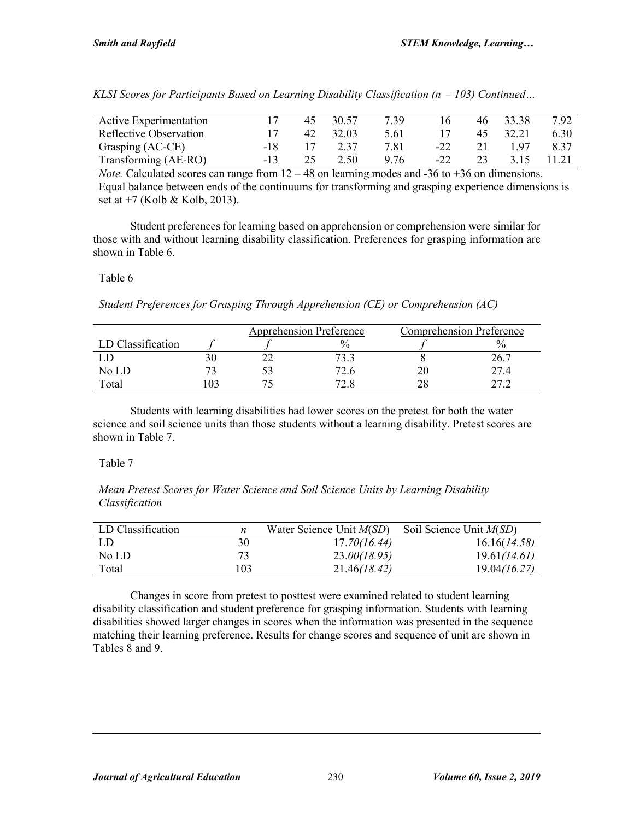| Active Experimentation |     | 45 | 30.57 | 7.39 | 16    | 46 | 33.38 | 7.92 |
|------------------------|-----|----|-------|------|-------|----|-------|------|
| Reflective Observation |     | 42 | 32.03 | 5.61 |       | 45 | 32.21 | 6.30 |
| Grasping (AC-CE)       | -18 |    | 2.37  | 7.81 | $-22$ | 21 | 197   | 8.37 |
| Transforming (AE-RO)   | -13 |    | 2.50  | 9.76 | $-22$ |    | 315   |      |

*KLSI Scores for Participants Based on Learning Disability Classification (n = 103) Continued…*

*Note.* Calculated scores can range from  $12 - 48$  on learning modes and  $-36$  to  $+36$  on dimensions. Equal balance between ends of the continuums for transforming and grasping experience dimensions is set at  $+7$  (Kolb & Kolb, 2013).

Student preferences for learning based on apprehension or comprehension were similar for those with and without learning disability classification. Preferences for grasping information are shown in Table 6.

## Table 6

*Student Preferences for Grasping Through Apprehension (CE) or Comprehension (AC)* 

|                   |  | <b>Apprehension Preference</b> | <b>Comprehension Preference</b> |      |  |  |
|-------------------|--|--------------------------------|---------------------------------|------|--|--|
| LD Classification |  | $^{0}\!/_{0}$                  |                                 |      |  |  |
|                   |  | '3.3                           |                                 |      |  |  |
| No LD             |  | 72.6                           |                                 | 27.4 |  |  |
| Total             |  |                                |                                 |      |  |  |

Students with learning disabilities had lower scores on the pretest for both the water science and soil science units than those students without a learning disability. Pretest scores are shown in Table 7.

# Table 7

*Mean Pretest Scores for Water Science and Soil Science Units by Learning Disability Classification*

| LD Classification |     | Water Science Unit $M(SD)$ | Soil Science Unit $M(SD)$ |
|-------------------|-----|----------------------------|---------------------------|
| -LD               | 30  | 17.70(16.44)               | 16.16(14.58)              |
| No LD             |     | 23.00(18.95)               | 19.61(14.61)              |
| Total             | 103 | 21.46(18.42)               | 19.04(16.27)              |

Changes in score from pretest to posttest were examined related to student learning disability classification and student preference for grasping information. Students with learning disabilities showed larger changes in scores when the information was presented in the sequence matching their learning preference. Results for change scores and sequence of unit are shown in Tables 8 and 9.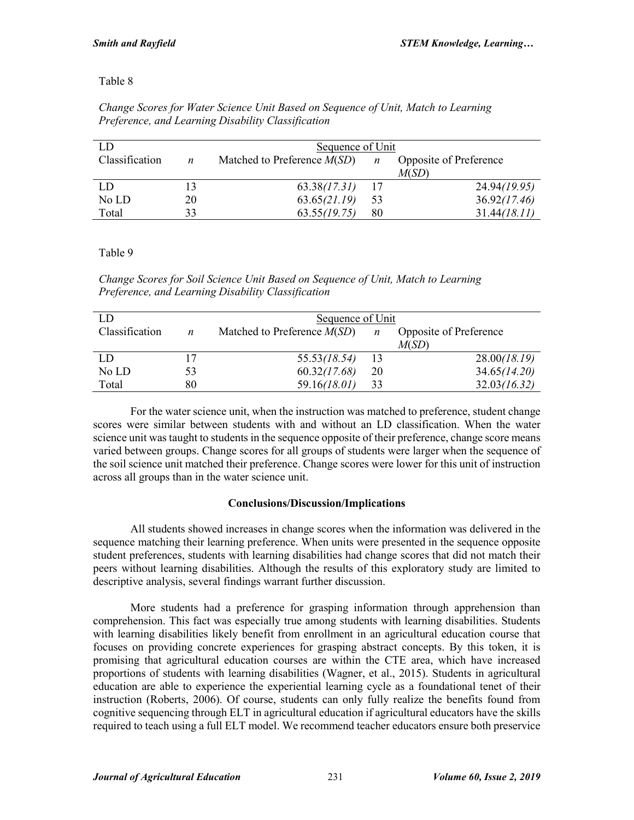## Table 8

| Change Scores for Water Science Unit Based on Sequence of Unit, Match to Learning |  |
|-----------------------------------------------------------------------------------|--|
| Preference, and Learning Disability Classification                                |  |

| LD             |    | Sequence of Unit              |                  |                        |  |  |  |  |  |  |
|----------------|----|-------------------------------|------------------|------------------------|--|--|--|--|--|--|
| Classification | n  | Matched to Preference $M(SD)$ | $\boldsymbol{n}$ | Opposite of Preference |  |  |  |  |  |  |
|                |    |                               |                  | M(SD)                  |  |  |  |  |  |  |
| LD             | 13 | 63.38(17.31)                  | -17              | 24.94(19.95)           |  |  |  |  |  |  |
| No LD          | 20 | 63.65(21.19)                  | 53               | 36.92(17.46)           |  |  |  |  |  |  |
| Total          | 33 | 63.55(19.75)                  | 80               | 31.44(18.11)           |  |  |  |  |  |  |

Table 9

*Change Scores for Soil Science Unit Based on Sequence of Unit, Match to Learning Preference, and Learning Disability Classification*

| LD.            |    | Sequence of Unit              |                |                               |  |  |  |  |  |  |
|----------------|----|-------------------------------|----------------|-------------------------------|--|--|--|--|--|--|
| Classification | n  | Matched to Preference $M(SD)$ | $\overline{n}$ | <b>Opposite of Preference</b> |  |  |  |  |  |  |
|                |    |                               |                | M(SD)                         |  |  |  |  |  |  |
| <b>LD</b>      |    | 55.53(18.54)                  | 13             | 28.00(18.19)                  |  |  |  |  |  |  |
| No LD          | 53 | 60.32(17.68)                  | 20             | 34.65(14.20)                  |  |  |  |  |  |  |
| Total          | 80 | 59.16(18.01)                  | 33             | 32.03(16.32)                  |  |  |  |  |  |  |

For the water science unit, when the instruction was matched to preference, student change scores were similar between students with and without an LD classification. When the water science unit was taught to students in the sequence opposite of their preference, change score means varied between groups. Change scores for all groups of students were larger when the sequence of the soil science unit matched their preference. Change scores were lower for this unit of instruction across all groups than in the water science unit.

## **Conclusions/Discussion/Implications**

All students showed increases in change scores when the information was delivered in the sequence matching their learning preference. When units were presented in the sequence opposite student preferences, students with learning disabilities had change scores that did not match their peers without learning disabilities. Although the results of this exploratory study are limited to descriptive analysis, several findings warrant further discussion.

More students had a preference for grasping information through apprehension than comprehension. This fact was especially true among students with learning disabilities. Students with learning disabilities likely benefit from enrollment in an agricultural education course that focuses on providing concrete experiences for grasping abstract concepts. By this token, it is promising that agricultural education courses are within the CTE area, which have increased proportions of students with learning disabilities (Wagner, et al., 2015). Students in agricultural education are able to experience the experiential learning cycle as a foundational tenet of their instruction (Roberts, 2006). Of course, students can only fully realize the benefits found from cognitive sequencing through ELT in agricultural education if agricultural educators have the skills required to teach using a full ELT model. We recommend teacher educators ensure both preservice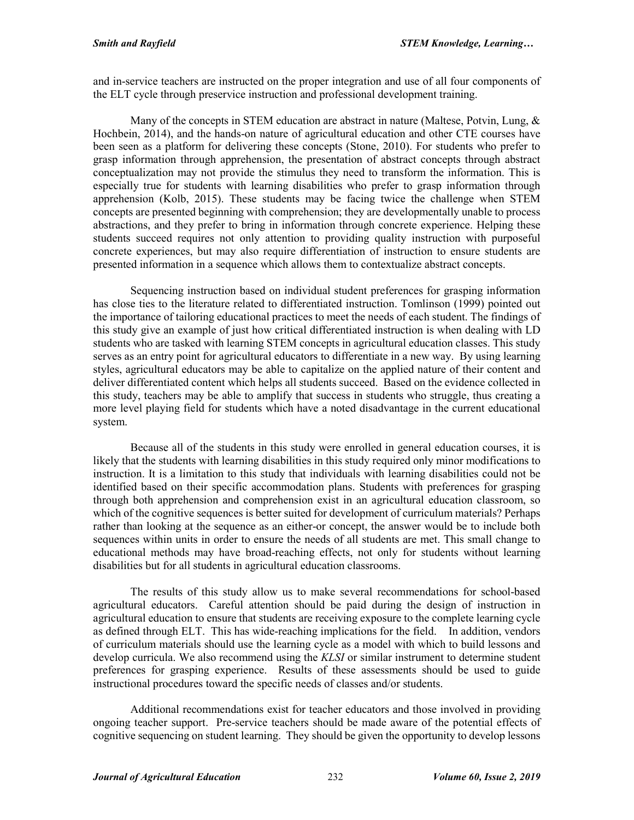and in-service teachers are instructed on the proper integration and use of all four components of the ELT cycle through preservice instruction and professional development training.

Many of the concepts in STEM education are abstract in nature (Maltese, Potvin, Lung,  $\&$ Hochbein, 2014), and the hands-on nature of agricultural education and other CTE courses have been seen as a platform for delivering these concepts (Stone, 2010). For students who prefer to grasp information through apprehension, the presentation of abstract concepts through abstract conceptualization may not provide the stimulus they need to transform the information. This is especially true for students with learning disabilities who prefer to grasp information through apprehension (Kolb, 2015). These students may be facing twice the challenge when STEM concepts are presented beginning with comprehension; they are developmentally unable to process abstractions, and they prefer to bring in information through concrete experience. Helping these students succeed requires not only attention to providing quality instruction with purposeful concrete experiences, but may also require differentiation of instruction to ensure students are presented information in a sequence which allows them to contextualize abstract concepts.

Sequencing instruction based on individual student preferences for grasping information has close ties to the literature related to differentiated instruction. Tomlinson (1999) pointed out the importance of tailoring educational practices to meet the needs of each student. The findings of this study give an example of just how critical differentiated instruction is when dealing with LD students who are tasked with learning STEM concepts in agricultural education classes. This study serves as an entry point for agricultural educators to differentiate in a new way. By using learning styles, agricultural educators may be able to capitalize on the applied nature of their content and deliver differentiated content which helps all students succeed. Based on the evidence collected in this study, teachers may be able to amplify that success in students who struggle, thus creating a more level playing field for students which have a noted disadvantage in the current educational system.

Because all of the students in this study were enrolled in general education courses, it is likely that the students with learning disabilities in this study required only minor modifications to instruction. It is a limitation to this study that individuals with learning disabilities could not be identified based on their specific accommodation plans. Students with preferences for grasping through both apprehension and comprehension exist in an agricultural education classroom, so which of the cognitive sequences is better suited for development of curriculum materials? Perhaps rather than looking at the sequence as an either-or concept, the answer would be to include both sequences within units in order to ensure the needs of all students are met. This small change to educational methods may have broad-reaching effects, not only for students without learning disabilities but for all students in agricultural education classrooms.

The results of this study allow us to make several recommendations for school-based agricultural educators. Careful attention should be paid during the design of instruction in agricultural education to ensure that students are receiving exposure to the complete learning cycle as defined through ELT. This has wide-reaching implications for the field. In addition, vendors of curriculum materials should use the learning cycle as a model with which to build lessons and develop curricula. We also recommend using the *KLSI* or similar instrument to determine student preferences for grasping experience. Results of these assessments should be used to guide instructional procedures toward the specific needs of classes and/or students.

Additional recommendations exist for teacher educators and those involved in providing ongoing teacher support. Pre-service teachers should be made aware of the potential effects of cognitive sequencing on student learning. They should be given the opportunity to develop lessons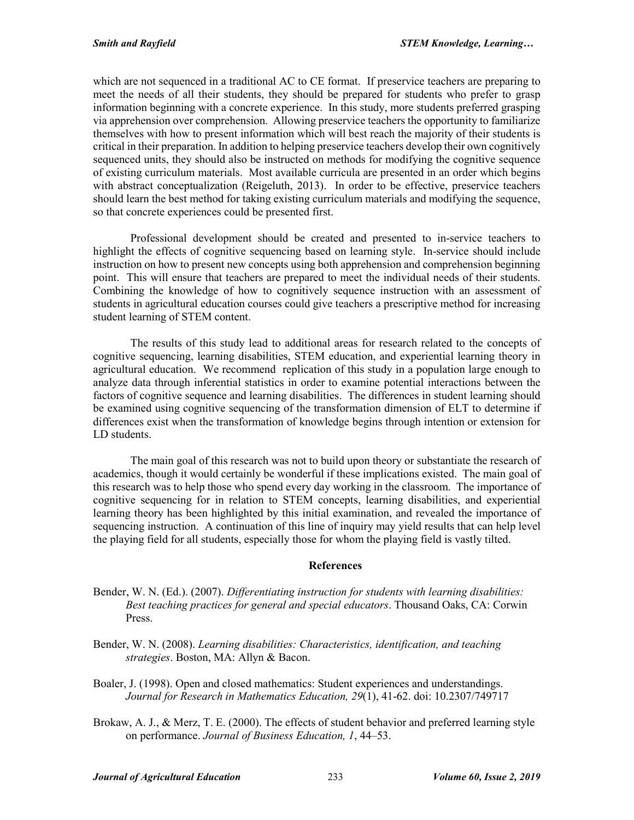which are not sequenced in a traditional AC to CE format. If preservice teachers are preparing to meet the needs of all their students, they should be prepared for students who prefer to grasp information beginning with a concrete experience. In this study, more students preferred grasping via apprehension over comprehension. Allowing preservice teachers the opportunity to familiarize themselves with how to present information which will best reach the majority of their students is critical in their preparation. In addition to helping preservice teachers develop their own cognitively sequenced units, they should also be instructed on methods for modifying the cognitive sequence of existing curriculum materials. Most available curricula are presented in an order which begins with abstract conceptualization (Reigeluth, 2013). In order to be effective, preservice teachers should learn the best method for taking existing curriculum materials and modifying the sequence, so that concrete experiences could be presented first.

Professional development should be created and presented to in-service teachers to highlight the effects of cognitive sequencing based on learning style. In-service should include instruction on how to present new concepts using both apprehension and comprehension beginning point. This will ensure that teachers are prepared to meet the individual needs of their students. Combining the knowledge of how to cognitively sequence instruction with an assessment of students in agricultural education courses could give teachers a prescriptive method for increasing student learning of STEM content.

The results of this study lead to additional areas for research related to the concepts of cognitive sequencing, learning disabilities, STEM education, and experiential learning theory in agricultural education. We recommend replication of this study in a population large enough to analyze data through inferential statistics in order to examine potential interactions between the factors of cognitive sequence and learning disabilities. The differences in student learning should be examined using cognitive sequencing of the transformation dimension of ELT to determine if differences exist when the transformation of knowledge begins through intention or extension for LD students.

The main goal of this research was not to build upon theory or substantiate the research of academics, though it would certainly be wonderful if these implications existed. The main goal of this research was to help those who spend every day working in the classroom. The importance of cognitive sequencing for in relation to STEM concepts, learning disabilities, and experiential learning theory has been highlighted by this initial examination, and revealed the importance of sequencing instruction. A continuation of this line of inquiry may yield results that can help level the playing field for all students, especially those for whom the playing field is vastly tilted.

#### **References**

- Bender, W. N. (Ed.). (2007). *Differentiating instruction for students with learning disabilities: Best teaching practices for general and special educators*. Thousand Oaks, CA: Corwin Press.
- Bender, W. N. (2008). *Learning disabilities: Characteristics, identification, and teaching strategies*. Boston, MA: Allyn & Bacon.
- Boaler, J. (1998). Open and closed mathematics: Student experiences and understandings. *Journal for Research in Mathematics Education, 29*(1), 41-62. doi: 10.2307/749717
- Brokaw, A. J., & Merz, T. E. (2000). The effects of student behavior and preferred learning style on performance. *Journal of Business Education, 1*, 44–53.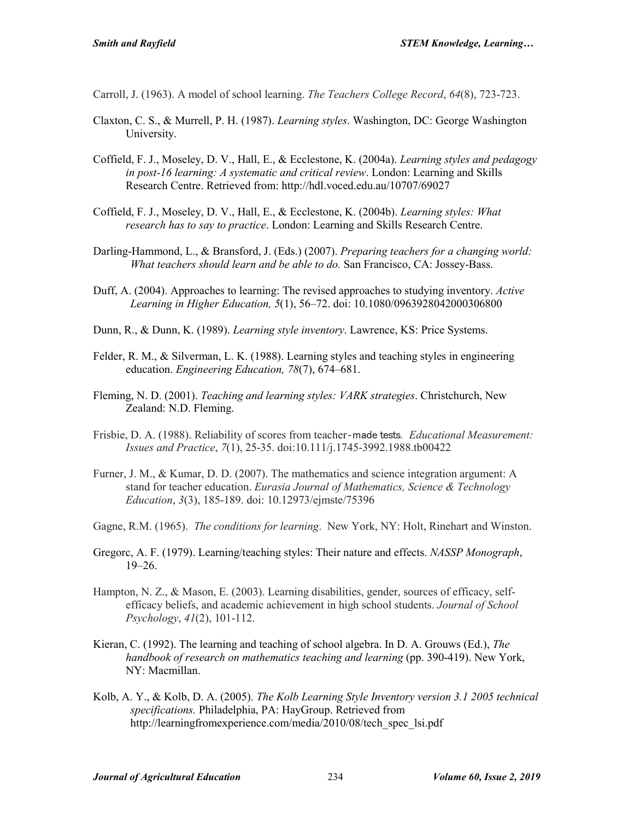Carroll, J. (1963). A model of school learning. *The Teachers College Record*, *64*(8), 723-723.

- Claxton, C. S., & Murrell, P. H. (1987). *Learning styles*. Washington, DC: George Washington University.
- Coffield, F. J., Moseley, D. V., Hall, E., & Ecclestone, K. (2004a). *Learning styles and pedagogy in post-16 learning: A systematic and critical review*. London: Learning and Skills Research Centre. Retrieved from: http://hdl.voced.edu.au/10707/69027
- Coffield, F. J., Moseley, D. V., Hall, E., & Ecclestone, K. (2004b). *Learning styles: What research has to say to practice*. London: Learning and Skills Research Centre.
- Darling-Hammond, L., & Bransford, J. (Eds.) (2007). *Preparing teachers for a changing world: What teachers should learn and be able to do.* San Francisco, CA: Jossey-Bass.
- Duff, A. (2004). Approaches to learning: The revised approaches to studying inventory. *Active Learning in Higher Education, 5*(1), 56–72. doi: 10.1080/0963928042000306800
- Dunn, R., & Dunn, K. (1989). *Learning style inventory*. Lawrence, KS: Price Systems.
- Felder, R. M., & Silverman, L. K. (1988). Learning styles and teaching styles in engineering education. *Engineering Education, 78*(7), 674–681.
- Fleming, N. D. (2001). *Teaching and learning styles: VARK strategies*. Christchurch, New Zealand: N.D. Fleming.
- Frisbie, D. A. (1988). Reliability of scores from teacher‐made tests. *Educational Measurement: Issues and Practice*, *7*(1), 25-35. doi:10.111/j.1745-3992.1988.tb00422
- Furner, J. M., & Kumar, D. D. (2007). The mathematics and science integration argument: A stand for teacher education. *Eurasia Journal of Mathematics, Science & Technology Education*, *3*(3), 185-189. doi: 10.12973/ejmste/75396
- Gagne, R.M. (1965). *The conditions for learning*. New York, NY: Holt, Rinehart and Winston.
- Gregorc, A. F. (1979). Learning/teaching styles: Their nature and effects. *NASSP Monograph*, 19–26.
- Hampton, N. Z., & Mason, E. (2003). Learning disabilities, gender, sources of efficacy, selfefficacy beliefs, and academic achievement in high school students. *Journal of School Psychology*, *41*(2), 101-112.
- Kieran, C. (1992). The learning and teaching of school algebra. In D. A. Grouws (Ed.), *The handbook of research on mathematics teaching and learning* (pp. 390-419). New York, NY: Macmillan.
- Kolb, A. Y., & Kolb, D. A. (2005). *The Kolb Learning Style Inventory version 3.1 2005 technical specifications.* Philadelphia, PA: HayGroup. Retrieved from http://learningfromexperience.com/media/2010/08/tech\_spec\_lsi.pdf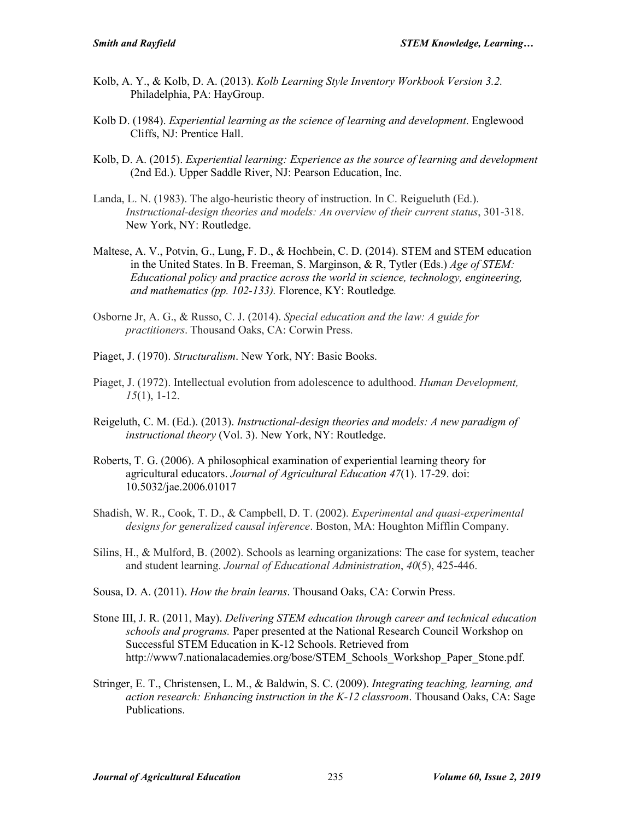- Kolb, A. Y., & Kolb, D. A. (2013). *Kolb Learning Style Inventory Workbook Version 3.2.* Philadelphia, PA: HayGroup.
- Kolb D. (1984). *Experiential learning as the science of learning and development*. Englewood Cliffs, NJ: Prentice Hall.
- Kolb, D. A. (2015). *Experiential learning: Experience as the source of learning and development* (2nd Ed.). Upper Saddle River, NJ: Pearson Education, Inc.
- Landa, L. N. (1983). The algo-heuristic theory of instruction. In C. Reigueluth (Ed.). *Instructional-design theories and models: An overview of their current status*, 301-318. New York, NY: Routledge.
- Maltese, A. V., Potvin, G., Lung, F. D., & Hochbein, C. D. (2014). STEM and STEM education in the United States. In B. Freeman, S. Marginson, & R, Tytler (Eds.) *Age of STEM: Educational policy and practice across the world in science, technology, engineering, and mathematics (pp. 102-133).* Florence, KY: Routledge*.*
- Osborne Jr, A. G., & Russo, C. J. (2014). *Special education and the law: A guide for practitioners*. Thousand Oaks, CA: Corwin Press.
- Piaget, J. (1970). *Structuralism*. New York, NY: Basic Books.
- Piaget, J. (1972). Intellectual evolution from adolescence to adulthood. *Human Development, 15*(1), 1-12.
- Reigeluth, C. M. (Ed.). (2013). *Instructional-design theories and models: A new paradigm of instructional theory* (Vol. 3). New York, NY: Routledge.
- Roberts, T. G. (2006). A philosophical examination of experiential learning theory for agricultural educators. *Journal of Agricultural Education 47*(1). 17-29. doi: 10.5032/jae.2006.01017
- Shadish, W. R., Cook, T. D., & Campbell, D. T. (2002). *Experimental and quasi-experimental designs for generalized causal inference*. Boston, MA: Houghton Mifflin Company.
- Silins, H., & Mulford, B. (2002). Schools as learning organizations: The case for system, teacher and student learning. *Journal of Educational Administration*, *40*(5), 425-446.
- Sousa, D. A. (2011). *How the brain learns*. Thousand Oaks, CA: Corwin Press.
- Stone III, J. R. (2011, May). *Delivering STEM education through career and technical education schools and programs.* Paper presented at the National Research Council Workshop on Successful STEM Education in K-12 Schools. Retrieved from http://www7.nationalacademies.org/bose/STEM\_Schools\_Workshop\_Paper\_Stone.pdf.
- Stringer, E. T., Christensen, L. M., & Baldwin, S. C. (2009). *Integrating teaching, learning, and action research: Enhancing instruction in the K-12 classroom*. Thousand Oaks, CA: Sage Publications.